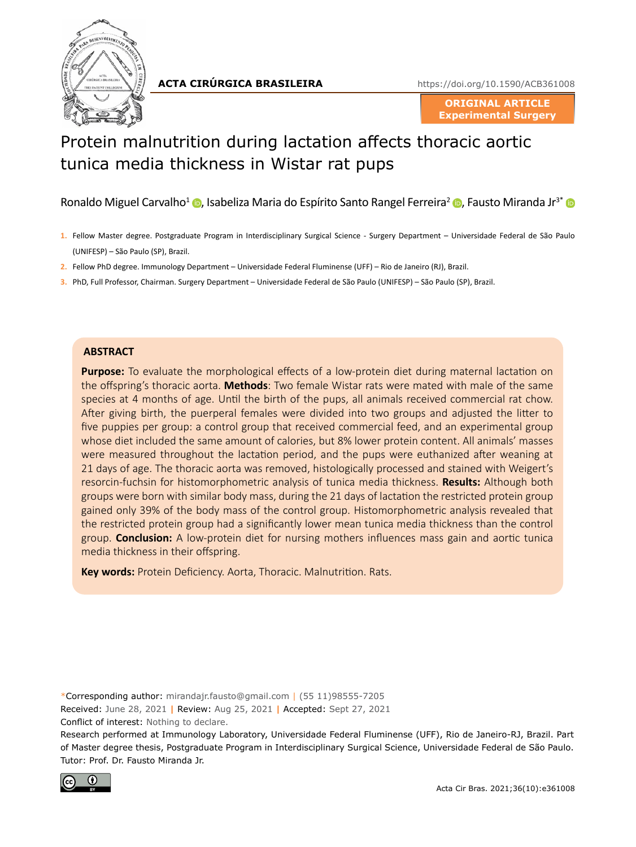

**ACTA CIRÚRGICA BRASILEIRA**

<https://doi.org/10.1590/ACB361008>

**ORIGINAL ARTICLE Experimental Surgery**

# Protein malnutrition during lactation affects thoracic aortic tunica media thickness in Wistar rat pups

Ronaldo Miguel Carvalho<sup>1</sup> (**D**[,](http://orcid.org/0000-0001-7640-3066) Isabeliza Maria do Espírito Santo Rangel Ferreira<sup>2</sup> (**D**, Fausto Miranda Jr<sup>3\*</sup> (**D** 

- **1.** Fellow Master degree. Postgraduate Program in Interdisciplinary Surgical Science Surgery Department Universidade Federal de São Paulo (UNIFESP) – São Paulo (SP), Brazil.
- **2.** Fellow PhD degree. Immunology Department Universidade Federal Fluminense (UFF) Rio de Janeiro (RJ), Brazil.
- **3.** PhD, Full Professor, Chairman. Surgery Department Universidade Federal de São Paulo (UNIFESP) São Paulo (SP), Brazil.

#### **ABSTRACT**

**Purpose:** To evaluate the morphological effects of a low-protein diet during maternal lactation on the offspring's thoracic aorta. **Methods**: Two female Wistar rats were mated with male of the same species at 4 months of age. Until the birth of the pups, all animals received commercial rat chow. After giving birth, the puerperal females were divided into two groups and adjusted the litter to five puppies per group: a control group that received commercial feed, and an experimental group whose diet included the same amount of calories, but 8% lower protein content. All animals' masses were measured throughout the lactation period, and the pups were euthanized after weaning at 21 days of age. The thoracic aorta was removed, histologically processed and stained with Weigert's resorcin-fuchsin for histomorphometric analysis of tunica media thickness. **Results:** Although both groups were born with similar body mass, during the 21 days of lactation the restricted protein group gained only 39% of the body mass of the control group. Histomorphometric analysis revealed that the restricted protein group had a significantly lower mean tunica media thickness than the control group. **Conclusion:** A low-protein diet for nursing mothers influences mass gain and aortic tunica media thickness in their offspring.

**Key words:** Protein Deficiency. Aorta, Thoracic. Malnutrition. Rats.

\*Corresponding author: [mirandajr.fausto@gmail.com](mailto:mirandajr.fausto@gmail.com) | (55 11)98555-7205

Received: June 28, 2021 **|** Review: Aug 25, 2021 **|** Accepted: Sept 27, 2021 Conflict of interest: Nothing to declare.

Research performed at Immunology Laboratory, Universidade Federal Fluminense (UFF), Rio de Janeiro-RJ, Brazil. Part of Master degree thesis, Postgraduate Program in Interdisciplinary Surgical Science, Universidade Federal de São Paulo. Tutor: Prof. Dr. Fausto Miranda Jr.

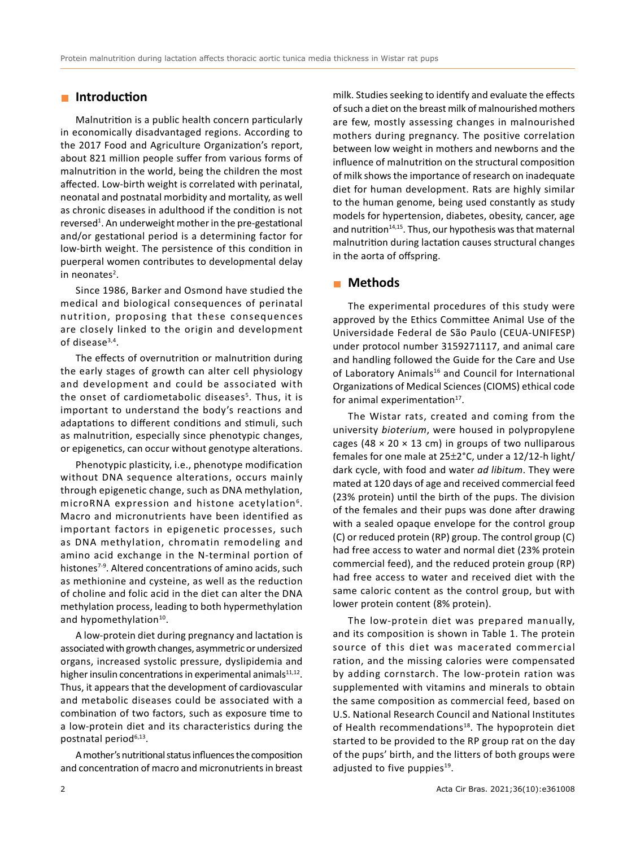# **Introduction**

Malnutrition is a public health concern particularly in economically disadvantaged regions. According to the 2017 Food and Agriculture Organization's report, about 821 million people suffer from various forms of malnutrition in the world, being the children the most affected. Low-birth weight is correlated with perinatal, neonatal and postnatal morbidity and mortality, as well as chronic diseases in adulthood if the condition is not reversed<sup>1</sup>. An underweight mother in the pre-gestational and/or gestational period is a determining factor for low-birth weight. The persistence of this condition in puerperal women contributes to developmental delay in neonates<sup>2</sup>.

Since 1986, Barker and Osmond have studied the medical and biological consequences of perinatal nutrition, proposing that these consequences are closely linked to the origin and development of disease<sup>3,4</sup>.

The effects of overnutrition or malnutrition during the early stages of growth can alter cell physiology and development and could be associated with the onset of cardiometabolic diseases<sup>5</sup>. Thus, it is important to understand the body's reactions and adaptations to different conditions and stimuli, such as malnutrition, especially since phenotypic changes, or epigenetics, can occur without genotype alterations.

Phenotypic plasticity, i.e., phenotype modification without DNA sequence alterations, occurs mainly through epigenetic change, such as DNA methylation, microRNA expression and histone acetylation<sup>6</sup>. Macro and micronutrients have been identified as important factors in epigenetic processes, such as DNA methylation, chromatin remodeling and amino acid exchange in the N-terminal portion of histones<sup>7-9</sup>. Altered concentrations of amino acids, such as methionine and cysteine, as well as the reduction of choline and folic acid in the diet can alter the DNA methylation process, leading to both hypermethylation and hypomethylation<sup>10</sup>.

A low-protein diet during pregnancy and lactation is associated with growth changes, asymmetric or undersized organs, increased systolic pressure, dyslipidemia and higher insulin concentrations in experimental animals $11,12$ . Thus, it appears that the development of cardiovascular and metabolic diseases could be associated with a combination of two factors, such as exposure time to a low-protein diet and its characteristics during the postnatal period<sup>6,13</sup>.

A mother's nutritional status influences the composition and concentration of macro and micronutrients in breast milk. Studies seeking to identify and evaluate the effects of such a diet on the breast milk of malnourished mothers are few, mostly assessing changes in malnourished mothers during pregnancy. The positive correlation between low weight in mothers and newborns and the influence of malnutrition on the structural composition of milk shows the importance of research on inadequate diet for human development. Rats are highly similar to the human genome, being used constantly as study models for hypertension, diabetes, obesity, cancer, age and nutrition<sup>14,15</sup>. Thus, our hypothesis was that maternal malnutrition during lactation causes structural changes in the aorta of offspring.

# **Methods**

The experimental procedures of this study were approved by the Ethics Committee Animal Use of the Universidade Federal de São Paulo (CEUA-UNIFESP) under protocol number 3159271117, and animal care and handling followed the Guide for the Care and Use of Laboratory Animals<sup>16</sup> and Council for International Organizations of Medical Sciences (CIOMS) ethical code for animal experimentation<sup>17</sup>.

The Wistar rats, created and coming from the university *bioterium*, were housed in polypropylene cages (48  $\times$  20  $\times$  13 cm) in groups of two nulliparous females for one male at 25±2°C, under a 12/12-h light/ dark cycle, with food and water *ad libitum*. They were mated at 120 days of age and received commercial feed (23% protein) until the birth of the pups. The division of the females and their pups was done after drawing with a sealed opaque envelope for the control group (C) or reduced protein (RP) group. The control group (C) had free access to water and normal diet (23% protein commercial feed), and the reduced protein group (RP) had free access to water and received diet with the same caloric content as the control group, but with lower protein content (8% protein).

The low-protein diet was prepared manually, and its composition is shown in Table 1. The protein source of this diet was macerated commercial ration, and the missing calories were compensated by adding cornstarch. The low-protein ration was supplemented with vitamins and minerals to obtain the same composition as commercial feed, based on U.S. National Research Council and National Institutes of Health recommendations<sup>18</sup>. The hypoprotein diet started to be provided to the RP group rat on the day of the pups' birth, and the litters of both groups were adjusted to five puppies $19$ .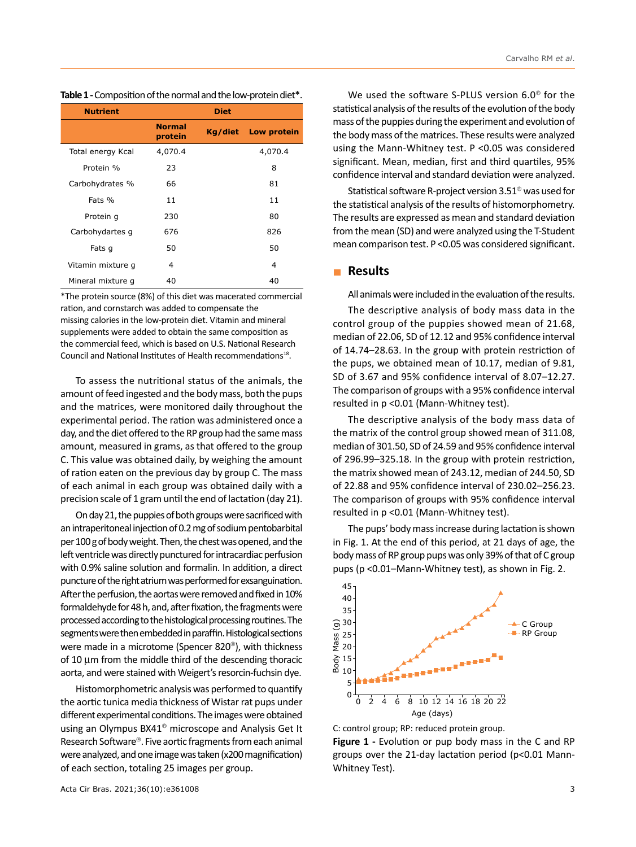|  |  |  | Table 1 - Composition of the normal and the low-protein diet*. |
|--|--|--|----------------------------------------------------------------|
|--|--|--|----------------------------------------------------------------|

| <b>Nutrient</b>   |                          | <b>Diet</b> |             |
|-------------------|--------------------------|-------------|-------------|
|                   | <b>Normal</b><br>protein | Kg/diet     | Low protein |
| Total energy Kcal | 4,070.4                  |             | 4,070.4     |
| Protein %         | 23                       |             | 8           |
| Carbohydrates %   | 66                       |             | 81          |
| Fats %            | 11                       |             | 11          |
| Protein q         | 230                      |             | 80          |
| Carbohydartes q   | 676                      |             | 826         |
| Fats q            | 50                       |             | 50          |
| Vitamin mixture q | 4                        |             | 4           |
| Mineral mixture q | 40                       |             | 40          |

\*The protein source (8%) of this diet was macerated commercial ration, and cornstarch was added to compensate the missing calories in the low-protein diet. Vitamin and mineral supplements were added to obtain the same composition as the commercial feed, which is based on U.S. National Research Council and National Institutes of Health recommendations<sup>18</sup>.

To assess the nutritional status of the animals, the amount of feed ingested and the body mass, both the pups and the matrices, were monitored daily throughout the experimental period. The ration was administered once a day, and the diet offered to the RP group had the same mass amount, measured in grams, as that offered to the group C. This value was obtained daily, by weighing the amount of ration eaten on the previous day by group C. The mass of each animal in each group was obtained daily with a precision scale of 1 gram until the end of lactation (day 21).

On day 21, the puppies of both groups were sacrificed with an intraperitoneal injection of 0.2mg of sodium pentobarbital per 100g of body weight. Then, the chest was opened, and the left ventricle was directly punctured for intracardiac perfusion with 0.9% saline solution and formalin. In addition, a direct puncture of the right atrium was performed for exsanguination. After the perfusion, the aortas were removed and fixed in 10% formaldehyde for 48h, and, after fixation, the fragments were processed according to the histological processing routines. The segments were then embedded in paraffin. Histological sections were made in a microtome (Spencer 820®), with thickness of 10 μm from the middle third of the descending thoracic aorta, and were stained with Weigert's resorcin-fuchsin dye.

Histomorphometric analysis was performed to quantify the aortic tunica media thickness of Wistar rat pups under different experimental conditions. The images were obtained using an Olympus BX41® microscope and Analysis Get It Research Software®. Five aortic fragments from each animal were analyzed, and one image was taken (x200magnification) of each section, totaling 25 images per group.

We used the software S-PLUS version 6.0® for the statistical analysis of the results of the evolution of the body mass of the puppies during the experiment and evolution of the body mass of the matrices. These results were analyzed using the Mann-Whitney test. P <0.05 was considered significant. Mean, median, first and third quartiles, 95% confidence interval and standard deviation were analyzed.

Statistical software R-project version 3.51® was used for the statistical analysis of the results of histomorphometry. The results are expressed as mean and standard deviation from the mean (SD) and were analyzed using the T-Student mean comparison test. P <0.05 was considered significant.

#### **Results**

All animals were included in the evaluation of the results.

The descriptive analysis of body mass data in the control group of the puppies showed mean of 21.68, median of 22.06, SD of 12.12 and 95% confidence interval of 14.74–28.63. In the group with protein restriction of the pups, we obtained mean of 10.17, median of 9.81, SD of 3.67 and 95% confidence interval of 8.07–12.27. The comparison of groups with a 95% confidence interval resulted in p <0.01 (Mann-Whitney test).

The descriptive analysis of the body mass data of the matrix of the control group showed mean of 311.08, median of 301.50, SD of 24.59 and 95% confidence interval of 296.99–325.18. In the group with protein restriction, the matrix showed mean of 243.12, median of 244.50, SD of 22.88 and 95% confidence interval of 230.02–256.23. The comparison of groups with 95% confidence interval resulted in p <0.01 (Mann-Whitney test).

The pups' body mass increase during lactation is shown in Fig. 1. At the end of this period, at 21 days of age, the body mass of RP group pups was only 39% of that of C group pups (p <0.01–Mann-Whitney test), as shown in Fig. 2.



C: control group; RP: reduced protein group.

**Figure 1 -** Evolution or pup body mass in the C and RP groups over the 21-day lactation period (p<0.01 Mann-Whitney Test).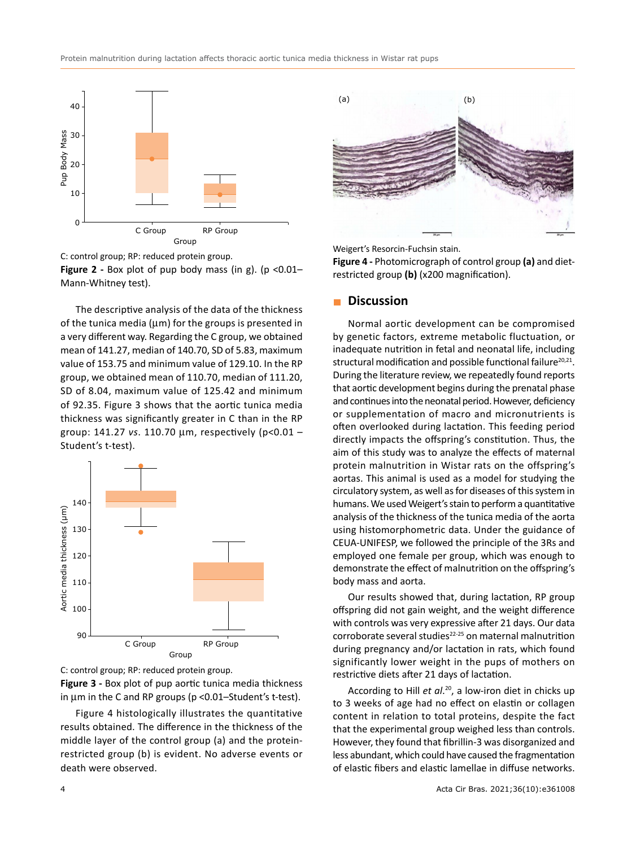



**Figure 2** - Box plot of pup body mass (in g). (p <0.01– Mann-Whitney test).

The descriptive analysis of the data of the thickness of the tunica media (μm) for the groups is presented in a very different way. Regarding the C group, we obtained mean of 141.27, median of 140.70, SD of 5.83, maximum value of 153.75 and minimum value of 129.10. In the RP group, we obtained mean of 110.70, median of 111.20, SD of 8.04, maximum value of 125.42 and minimum of 92.35. Figure 3 shows that the aortic tunica media thickness was significantly greater in C than in the RP group: 141.27 *vs*. 110.70 μm, respectively (p<0.01 – Student's t-test).





**Figure 3 -** Box plot of pup aortic tunica media thickness in μm in the C and RP groups (p <0.01–Student's t-test).

Figure 4 histologically illustrates the quantitative results obtained. The difference in the thickness of the middle layer of the control group (a) and the proteinrestricted group (b) is evident. No adverse events or death were observed.



Weigert's Resorcin-Fuchsin stain.

**Figure 4 -** Photomicrograph of control group **(a)** and dietrestricted group **(b)** (x200 magnification).

#### **Discussion**

Normal aortic development can be compromised by genetic factors, extreme metabolic fluctuation, or inadequate nutrition in fetal and neonatal life, including structural modification and possible functional failure $20,21$ . During the literature review, we repeatedly found reports that aortic development begins during the prenatal phase and continues into the neonatal period. However, deficiency or supplementation of macro and micronutrients is often overlooked during lactation. This feeding period directly impacts the offspring's constitution. Thus, the aim of this study was to analyze the effects of maternal protein malnutrition in Wistar rats on the offspring's aortas. This animal is used as a model for studying the circulatory system, as well as for diseases of this system in humans. We used Weigert's stain to perform a quantitative analysis of the thickness of the tunica media of the aorta using histomorphometric data. Under the guidance of CEUA-UNIFESP, we followed the principle of the 3Rs and employed one female per group, which was enough to demonstrate the effect of malnutrition on the offspring's body mass and aorta.

Our results showed that, during lactation, RP group offspring did not gain weight, and the weight difference with controls was very expressive after 21 days. Our data corroborate several studies<sup>22-25</sup> on maternal malnutrition during pregnancy and/or lactation in rats, which found significantly lower weight in the pups of mothers on restrictive diets after 21 days of lactation.

According to Hill *et al*. 20, a low-iron diet in chicks up to 3 weeks of age had no effect on elastin or collagen content in relation to total proteins, despite the fact that the experimental group weighed less than controls. However, they found that fibrillin-3 was disorganized and less abundant, which could have caused the fragmentation of elastic fibers and elastic lamellae in diffuse networks.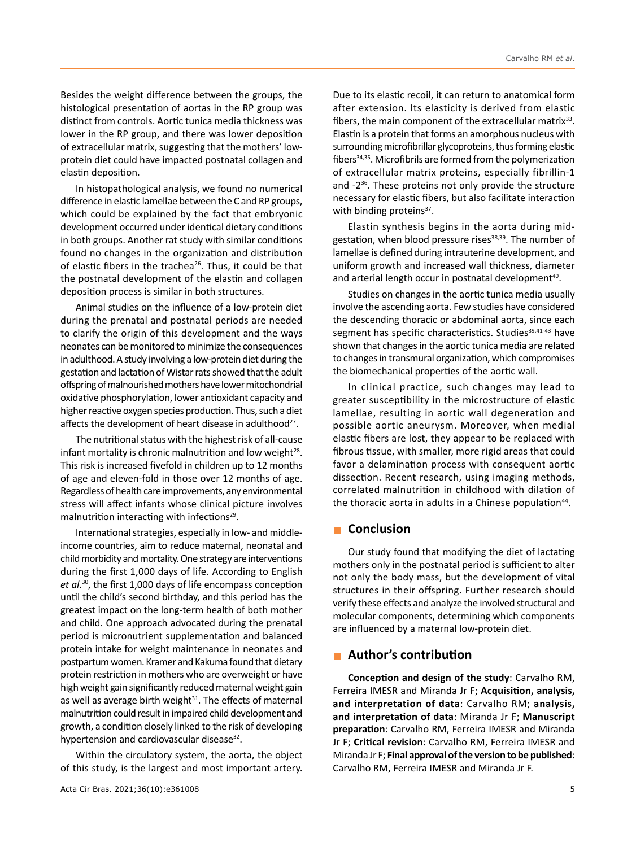Besides the weight difference between the groups, the histological presentation of aortas in the RP group was distinct from controls. Aortic tunica media thickness was lower in the RP group, and there was lower deposition of extracellular matrix, suggesting that the mothers' lowprotein diet could have impacted postnatal collagen and elastin deposition.

In histopathological analysis, we found no numerical difference in elastic lamellae between the C and RP groups, which could be explained by the fact that embryonic development occurred under identical dietary conditions in both groups. Another rat study with similar conditions found no changes in the organization and distribution of elastic fibers in the trachea<sup>26</sup>. Thus, it could be that the postnatal development of the elastin and collagen deposition process is similar in both structures.

Animal studies on the influence of a low-protein diet during the prenatal and postnatal periods are needed to clarify the origin of this development and the ways neonates can be monitored to minimize the consequences in adulthood. A study involving a low-protein diet during the gestation and lactation of Wistar rats showed that the adult offspring of malnourished mothers have lower mitochondrial oxidative phosphorylation, lower antioxidant capacity and higher reactive oxygen species production. Thus, such a diet affects the development of heart disease in adulthood<sup>27</sup>.

The nutritional status with the highest risk of all-cause infant mortality is chronic malnutrition and low weight $^{28}$ . This risk is increased fivefold in children up to 12 months of age and eleven-fold in those over 12 months of age. Regardless of health care improvements, any environmental stress will affect infants whose clinical picture involves malnutrition interacting with infections<sup>29</sup>.

International strategies, especially in low- and middleincome countries, aim to reduce maternal, neonatal and child morbidity and mortality. One strategy are interventions during the first 1,000 days of life. According to English *et al*. <sup>30</sup>, the first 1,000 days of life encompass conception until the child's second birthday, and this period has the greatest impact on the long-term health of both mother and child. One approach advocated during the prenatal period is micronutrient supplementation and balanced protein intake for weight maintenance in neonates and postpartum women. Kramer and Kakuma found that dietary protein restriction in mothers who are overweight or have high weight gain significantly reduced maternal weight gain as well as average birth weight $31$ . The effects of maternal malnutrition could result in impaired child development and growth, a condition closely linked to the risk of developing hypertension and cardiovascular disease<sup>32</sup>.

Within the circulatory system, the aorta, the object of this study, is the largest and most important artery. Due to its elastic recoil, it can return to anatomical form after extension. Its elasticity is derived from elastic fibers, the main component of the extracellular matrix<sup>33</sup>. Elastin is a protein that forms an amorphous nucleus with surrounding microfibrillar glycoproteins, thus forming elastic fibers34,35. Microfibrils are formed from the polymerization of extracellular matrix proteins, especially fibrillin-1 and -236. These proteins not only provide the structure necessary for elastic fibers, but also facilitate interaction with binding proteins<sup>37</sup>.

Elastin synthesis begins in the aorta during midgestation, when blood pressure rises $38,39$ . The number of lamellae is defined during intrauterine development, and uniform growth and increased wall thickness, diameter and arterial length occur in postnatal development<sup>40</sup>.

Studies on changes in the aortic tunica media usually involve the ascending aorta. Few studies have considered the descending thoracic or abdominal aorta, since each segment has specific characteristics. Studies<sup>39,41-43</sup> have shown that changes in the aortic tunica media are related to changes in transmural organization, which compromises the biomechanical properties of the aortic wall.

In clinical practice, such changes may lead to greater susceptibility in the microstructure of elastic lamellae, resulting in aortic wall degeneration and possible aortic aneurysm. Moreover, when medial elastic fibers are lost, they appear to be replaced with fibrous tissue, with smaller, more rigid areas that could favor a delamination process with consequent aortic dissection. Recent research, using imaging methods, correlated malnutrition in childhood with dilation of the thoracic aorta in adults in a Chinese population<sup>44</sup>.

# **Conclusion**

Our study found that modifying the diet of lactating mothers only in the postnatal period is sufficient to alter not only the body mass, but the development of vital structures in their offspring. Further research should verify these effects and analyze the involved structural and molecular components, determining which components are influenced by a maternal low-protein diet.

#### **Author's contribution**

**Conception and design of the study**: Carvalho RM, Ferreira IMESR and Miranda Jr F; **Acquisition, analysis, and interpretation of data**: Carvalho RM; **analysis, and interpretation of data**: Miranda Jr F; **Manuscript preparation**: Carvalho RM, Ferreira IMESR and Miranda Jr F; **Critical revision**: Carvalho RM, Ferreira IMESR and Miranda Jr F; **Final approval of the version to be published**: Carvalho RM, Ferreira IMESR and Miranda Jr F.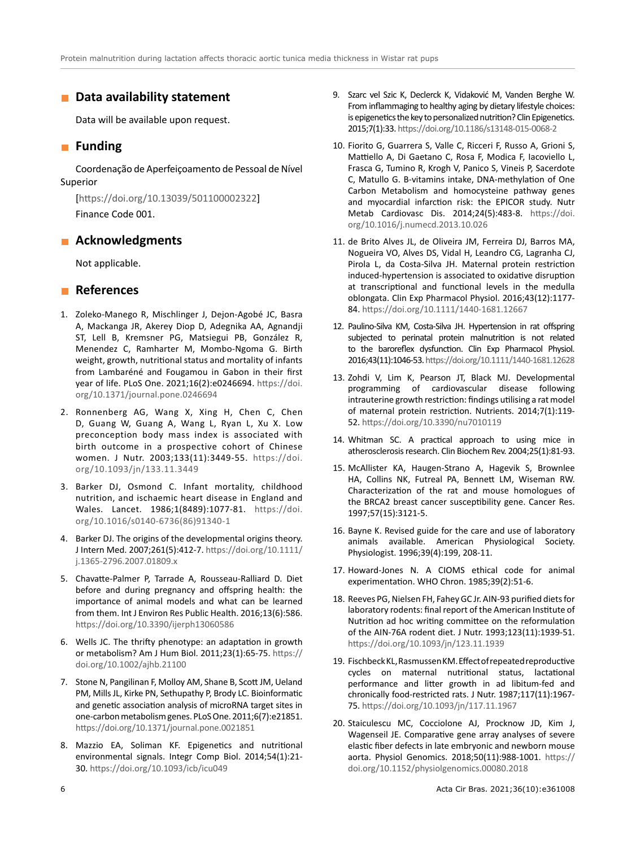#### **Data availability statement**

Data will be available upon request.

# **Funding**

Coordenação de Aperfeiçoamento de Pessoal de Nível Superior

[<https://doi.org/10.13039/501100002322>] Finance Code 001.

# **Acknowledgments**

Not applicable.

# **References**

- 1. Zoleko-Manego R, Mischlinger J, Dejon-Agobé JC, Basra A, Mackanga JR, Akerey Diop D, Adegnika AA, Agnandji ST, Lell B, Kremsner PG, Matsiegui PB, González R, Menendez C, Ramharter M, Mombo-Ngoma G. Birth weight, growth, nutritional status and mortality of infants from Lambaréné and Fougamou in Gabon in their first year of life. PLoS One. 2021;16(2):e0246694. [https://doi.](https://doi.org/10.1371/journal.pone.0246694) [org/10.1371/journal.pone.0246694](https://doi.org/10.1371/journal.pone.0246694)
- 2. Ronnenberg AG, Wang X, Xing H, Chen C, Chen D, Guang W, Guang A, Wang L, Ryan L, Xu X. Low preconception body mass index is associated with birth outcome in a prospective cohort of Chinese women. J Nutr. 2003;133(11):3449-55. [https://doi.](https://doi.org/10.1093/jn/133.11.3449) [org/10.1093/jn/133.11.3449](https://doi.org/10.1093/jn/133.11.3449)
- 3. Barker DJ, Osmond C. Infant mortality, childhood nutrition, and ischaemic heart disease in England and Wales. Lancet. 1986;1(8489):1077-81. [https://doi.](https://doi.org/10.1016/s0140-6736(86)91340-1) [org/10.1016/s0140-6736\(86\)91340-1](https://doi.org/10.1016/s0140-6736(86)91340-1)
- 4. Barker DJ. The origins of the developmental origins theory. J Intern Med. 2007;261(5):412-7. [https://doi.org/10.1111/](https://doi.org/10.1111/j.1365-2796.2007.01809.x) [j.1365-2796.2007.01809.x](https://doi.org/10.1111/j.1365-2796.2007.01809.x)
- 5. Chavatte-Palmer P, Tarrade A, Rousseau-Ralliard D. Diet before and during pregnancy and offspring health: the importance of animal models and what can be learned from them. Int J Environ Res Public Health. 2016;13(6):586. <https://doi.org/10.3390/ijerph13060586>
- 6. Wells JC. The thrifty phenotype: an adaptation in growth or metabolism? Am J Hum Biol. 2011;23(1):65-75. [https://](https://doi.org/10.1002/ajhb.21100) [doi.org/10.1002/ajhb.21100](https://doi.org/10.1002/ajhb.21100)
- 7. Stone N, Pangilinan F, Molloy AM, Shane B, Scott JM, Ueland PM, Mills JL, Kirke PN, Sethupathy P, Brody LC. Bioinformatic and genetic association analysis of microRNA target sites in one-carbon metabolism genes. PLoS One. 2011;6(7):e21851. <https://doi.org/10.1371/journal.pone.0021851>
- 8. Mazzio EA, Soliman KF. Epigenetics and nutritional environmental signals. Integr Comp Biol. 2014;54(1):21- 30. <https://doi.org/10.1093/icb/icu049>
- 9. Szarc vel Szic K, Declerck K, Vidaković M, Vanden Berghe W. From inflammaging to healthy aging by dietary lifestyle choices: is epigenetics the key to personalized nutrition? Clin Epigenetics. 2015;7(1):33. <https://doi.org/10.1186/s13148-015-0068-2>
- 10. Fiorito G, Guarrera S, Valle C, Ricceri F, Russo A, Grioni S, Mattiello A, Di Gaetano C, Rosa F, Modica F, Iacoviello L, Frasca G, Tumino R, Krogh V, Panico S, Vineis P, Sacerdote C, Matullo G. B-vitamins intake, DNA-methylation of One Carbon Metabolism and homocysteine pathway genes and myocardial infarction risk: the EPICOR study. Nutr Metab Cardiovasc Dis. 2014;24(5):483-8. [https://doi.](https://doi.org/10.1016/j.numecd.2013.10.026) [org/10.1016/j.numecd.2013.10.026](https://doi.org/10.1016/j.numecd.2013.10.026)
- 11. de Brito Alves JL, de Oliveira JM, Ferreira DJ, Barros MA, Nogueira VO, Alves DS, Vidal H, Leandro CG, Lagranha CJ, Pirola L, da Costa-Silva JH. Maternal protein restriction induced-hypertension is associated to oxidative disruption at transcriptional and functional levels in the medulla oblongata. Clin Exp Pharmacol Physiol. 2016;43(12):1177- 84. <https://doi.org/10.1111/1440-1681.12667>
- 12. Paulino-Silva KM, Costa-Silva JH. Hypertension in rat offspring subjected to perinatal protein malnutrition is not related to the baroreflex dysfunction. Clin Exp Pharmacol Physiol. 2016;43(11):1046-53. <https://doi.org/10.1111/1440-1681.12628>
- 13. Zohdi V, Lim K, Pearson JT, Black MJ. Developmental programming of cardiovascular disease following intrauterine growth restriction: findings utilising a rat model of maternal protein restriction. Nutrients. 2014;7(1):119- 52. <https://doi.org/10.3390/nu7010119>
- 14. Whitman SC. A practical approach to using mice in atherosclerosis research. Clin Biochem Rev. 2004;25(1):81-93.
- 15. McAllister KA, Haugen-Strano A, Hagevik S, Brownlee HA, Collins NK, Futreal PA, Bennett LM, Wiseman RW. Characterization of the rat and mouse homologues of the BRCA2 breast cancer susceptibility gene. Cancer Res. 1997;57(15):3121-5.
- 16. Bayne K. Revised guide for the care and use of laboratory animals available. American Physiological Society. Physiologist. 1996;39(4):199, 208-11.
- 17. Howard-Jones N. A CIOMS ethical code for animal experimentation. WHO Chron. 1985;39(2):51-6.
- 18. Reeves PG, Nielsen FH, Fahey GC Jr. AIN-93 purified diets for laboratory rodents: final report of the American Institute of Nutrition ad hoc writing committee on the reformulation of the AIN-76A rodent diet. J Nutr. 1993;123(11):1939-51. <https://doi.org/10.1093/jn/123.11.1939>
- 19. Fischbeck KL, Rasmussen KM. Effect of repeated reproductive cycles on maternal nutritional status, lactational performance and litter growth in ad libitum-fed and chronically food-restricted rats. J Nutr. 1987;117(11):1967- 75. <https://doi.org/10.1093/jn/117.11.1967>
- 20. Staiculescu MC, Cocciolone AJ, Procknow JD, Kim J, Wagenseil JE. Comparative gene array analyses of severe elastic fiber defects in late embryonic and newborn mouse aorta. Physiol Genomics. 2018;50(11):988-1001. [https://](https://doi.org/10.1152/physiolgenomics.00080.2018) [doi.org/10.1152/physiolgenomics.00080.2018](https://doi.org/10.1152/physiolgenomics.00080.2018)